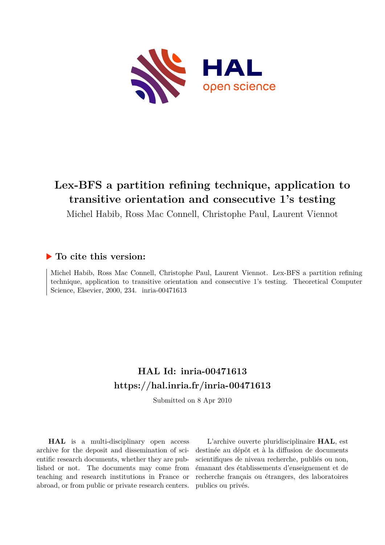

# **Lex-BFS a partition refining technique, application to transitive orientation and consecutive 1's testing**

Michel Habib, Ross Mac Connell, Christophe Paul, Laurent Viennot

# **To cite this version:**

Michel Habib, Ross Mac Connell, Christophe Paul, Laurent Viennot. Lex-BFS a partition refining technique, application to transitive orientation and consecutive 1's testing. Theoretical Computer Science, Elsevier, 2000, 234. inria-00471613

# **HAL Id: inria-00471613 <https://hal.inria.fr/inria-00471613>**

Submitted on 8 Apr 2010

**HAL** is a multi-disciplinary open access archive for the deposit and dissemination of scientific research documents, whether they are published or not. The documents may come from teaching and research institutions in France or abroad, or from public or private research centers.

L'archive ouverte pluridisciplinaire **HAL**, est destinée au dépôt et à la diffusion de documents scientifiques de niveau recherche, publiés ou non, émanant des établissements d'enseignement et de recherche français ou étrangers, des laboratoires publics ou privés.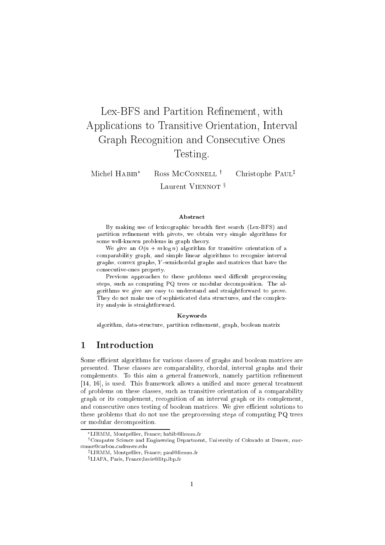# Lex-BFS and Partition Refinement, with Applications to Transitive Orientation, Interval Graph Recognition and Consecutive Ones Testing.

Michel  $HABIB^*$  Ross McCONNELL<sup>†</sup> Christophe Paul<sup>‡</sup> Laurent VIENNOT<sup>§</sup>

#### Abstract

By making use of lexicographic breadth rst search (Lex-BFS) and partition renement with pivots, we obtain very simple algorithms for some well-known problems in graph theory.

 $\mathcal{P}(\mathcal{P})$  and  $\mathcal{P}(\mathcal{P})$  and  $\mathcal{P}(\mathcal{P})$  algorithm for the algorithm for all  $\mathcal{P}(\mathcal{P})$ comparability graph, and simple linear algorithms to recognize interval  $\alpha$  -semicordal graphs,  $\alpha$  -semicordal distribution that have the matrices that have the have the have the have the semiconduction of  $\alpha$ consecutive-ones property.

Previous approaches to these problems used dicult preprocessing steps, such as computing PQ trees or modular decomposition. The algorithms we give are easy to understand and straightforward to prove. They do not make use of sophisticated data structures, and the complexity analysis is straightforward.

#### Keywords

algorithm, data-structure, partition renement, graph, boolean matrix

#### $\mathbf{1}$ **Introduction**

Some efficient algorithms for various classes of graphs and boolean matrices are presented. These classes are comparability, chordal, interval graphs and their complements. To this aim a general framework, namely partition refinement [14, 16], is used. This framework allows a unied and more general treatment of problems on these classes, such as transitive orientation of a comparability graph or its complement, recognition of an interval graph or its complement, and consecutive ones testing of boolean matrices. We give efficient solutions to these problems that do not use the preprocessing steps of computing PQ trees or modular decomposition.

LIRMM, Montpellier, France; habib@lirmm.fr

<sup>&</sup>lt;sup>†</sup>Computer Science and Engineering Department, University of Colorado at Denver, rmcconne@carbon.cudenver.edu

<sup>z</sup> LIRMM, Montpellier, France; paul@lirmm.fr

<sup>x</sup> LIAFA, Paris, France;lavie@litp.ibp.fr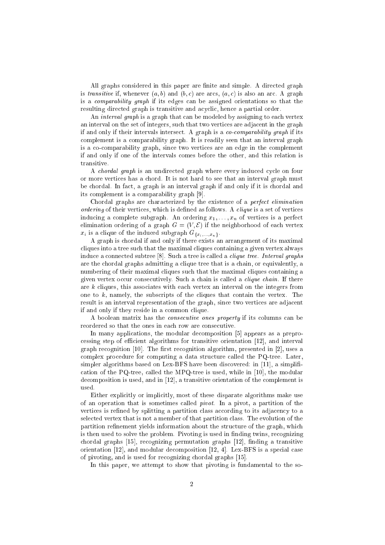All graphs considered in this paper are finite and simple. A directed graph is transitive if, whenever  $(a, b)$  and  $(b, c)$  are arcs,  $(a, c)$  is also an arc. A graph is a comparability graph if its edges can be assigned orientations so that the resulting directed graph is transitive and acyclic, hence a partial order.

An interval graph is a graph that can be modeled by assigning to each vertex an interval on the set of integers, such that two vertices are adjacent in the graph if and only if their intervals intersect. A graph is a co-comparability graph if its complement is a comparability graph. It is readily seen that an interval graph is a co-comparability graph, since two vertices are an edge in the complement if and only if one of the intervals comes before the other, and this relation is transitive.

A chordal graph is an undirected graph where every induced cycle on four or more vertices has a chord. It is not hard to see that an interval graph must be chordal. In fact, a graph is an interval graph if and only if it is chordal and its complement is a comparability graph [9].

Chordal graphs are characterized by the existence of a perfect elimination ordering of their vertices, which is defined as follows. A *clique* is a set of vertices inducing a complete subgraph. An ordering  $x_1, \ldots, x_n$  of vertices is a perfect elimination ordering of a graph  $G = (V, \mathcal{E})$  if the neighborhood of each vertex  $x_i$  is a clique of the induced subgraph  $G_{\{x_i,\ldots,x_n\}}$ .

A graph is chordal if and only if there exists an arrangement of its maximal cliques into a tree such that the maximal cliques containing a given vertex always induce a connected subtree  $[8]$ . Such a tree is called a *clique tree. Interval graphs* are the chordal graphs admitting a clique tree that is a chain, or equivalently, a numbering of their maximal cliques such that the maximal cliques containing a given vertex occur consecutively. Such a chain is called a *clique chain*. If there are  $k$  cliques, this associates with each vertex an interval on the integers from one to  $k$ , namely, the subscripts of the cliques that contain the vertex. The result is an interval representation of the graph, since two vertices are adjacent if and only if they reside in a common clique.

A boolean matrix has the consecutive ones property if its columns can be reordered so that the ones in each row are consecutive.

In many applications, the modular decomposition [5] appears as a preprocessing step of efficient algorithms for transitive orientation  $[12]$ , and interval graph recognition  $[10]$ . The first recognition algorithm, presented in  $[2]$ , uses a complex procedure for computing a data structure called the PQ-tree. Later, simpler algorithms based on Lex-BFS have been discovered: in [11], a simplification of the PQ-tree, called the MPQ-tree is used, while in [10], the modular decomposition is used, and in [12], a transitive orientation of the complement is used

Either explicitly or implicitly, most of these disparate algorithms make use of an operation that is sometimes called pivot. In a pivot, a partition of the vertices is refined by splitting a partition class according to its adjacency to a selected vertex that is not a member of that partition class. The evolution of the partition refinement yields information about the structure of the graph, which is then used to solve the problem. Pivoting is used in finding twins, recognizing chordal graphs [15], recognizing permutation graphs [12], finding a transitive orientation [12], and modular decomposition [12, 4]. Lex-BFS is a special case of pivoting, and is used for recognizing chordal graphs [15].

In this paper, we attempt to show that pivoting is fundamental to the so-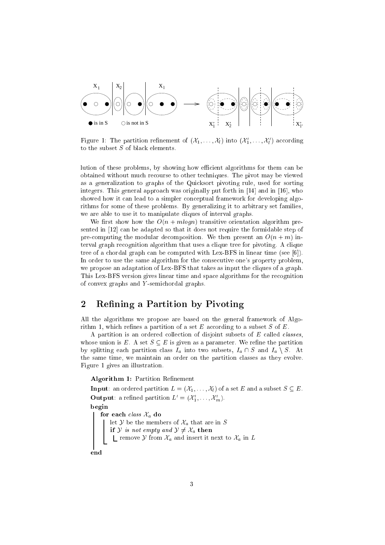

Figure 1: The partition rennement of  $(\lambda_1,\ldots,\lambda_l)$  into  $(\lambda_1,\ldots,\lambda_l)$  according to the subset  $S$  of black elements.

lution of these problems, by showing how efficient algorithms for them can be obtained without much recourse to other techniques. The pivot may be viewed as a generalization to graphs of the Quicksort pivoting rule, used for sorting integers. This general approach was originally put forth in [14] and in [16], who showed how it can lead to a simpler conceptual framework for developing algorithms for some of these problems. By generalizing it to arbitrary set families, we are able to use it to manipulate cliques of interval graphs.

We first show how the  $O(n + m \log n)$  transitive orientation algorithm presented in [12] can be adapted so that it does not require the formidable step of pre-computing the modular decomposition. We then present an  $O(n + m)$  interval graph recognition algorithm that uses a clique tree for pivoting. A clique tree of a chordal graph can be computed with Lex-BFS in linear time (see [6]). In order to use the same algorithm for the consecutive one's property problem, we propose an adaptation of Lex-BFS that takes as input the cliques of a graph. This Lex-BFS version gives linear time and space algorithms for the recognition of convex graphs and Y -semichordal graphs.

# 2 Refining a Partition by Pivoting

All the algorithms we propose are based on the general framework of Algorithm 1, which refines a partition of a set E according to a subset S of E.

A partition is an ordered collection of disjoint subsets of  $E$  called *classes*, whose union is E. A set  $S \subseteq E$  is given as a parameter. We refine the partition by splitting each partition class  $I_a$  into two subsets,  $I_a \cap S$  and  $I_a \setminus S$ . At the same time, we maintain an order on the partition classes as they evolve. Figure 1 gives an illustration.

### Algorithm 1: Partition Refinement

**Input:** an ordered partition  $L = (\mathcal{X}_1, \ldots, \mathcal{X}_l)$  of a set E and a subset  $S \subseteq E$ . **Output:** a refined partition  $L = (A_1, \ldots, A_m)$ . begin for each class  $\mathcal{X}_a$  do let  $\mathcal Y$  be the members of  $\mathcal X_a$  that are in S if y is not empty and  $y \neq \alpha_a$  then remove  $y$  from  $\alpha_a$  and insert it next to  $\alpha_a$  in  $E$ end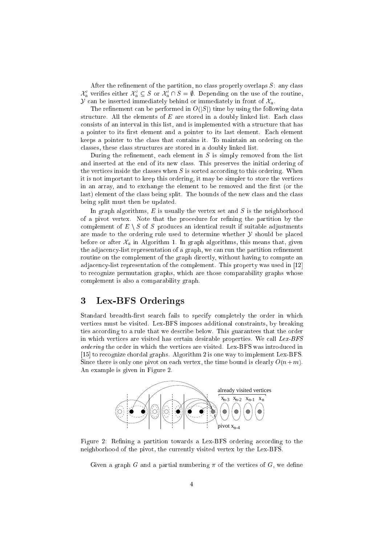After the refinement of the partition, no class properly overlaps  $S$ : any class  $A_a$  vermes either  $A_a \subseteq B$  or  $A_a \cap B = \emptyset$ . Depending on the use of the routine, Y can be inserted immediately behind or immediately in front of  $\mathcal{X}_a$ .

The refinement can be performed in  $O(|S|)$  time by using the following data structure. All the elements of  $E$  are stored in a doubly linked list. Each class consists of an interval in this list, and is implemented with a structure that has a pointer to its first element and a pointer to its last element. Each element keeps a pointer to the class that contains it. To maintain an ordering on the classes, these class structures are stored in a doubly linked list.

During the refinement, each element in  $S$  is simply removed from the list and inserted at the end of its new class. This preserves the initial ordering of the vertices inside the classes when  $S$  is sorted according to this ordering. When it is not important to keep this ordering, it may be simpler to store the vertices in an array, and to exchange the element to be removed and the first (or the last) element of the class being split. The bounds of the new class and the class being split must then be updated.

In graph algorithms,  $E$  is usually the vertex set and  $S$  is the neighborhood of a pivot vertex. Note that the procedure for refining the partition by the complement of  $E \setminus S$  of S produces an identical result if suitable adjustments are made to the ordering rule used to determine whether  $\mathcal Y$  should be placed before or after  $\mathcal{X}_a$  in Algorithm 1. In graph algorithms, this means that, given the adjacency-list representation of a graph, we can run the partition refinement routine on the complement of the graph directly, without having to compute an adjacency-list representation of the complement. This property was used in [12] to recognize permutation graphs, which are those comparability graphs whose complement is also a comparability graph.

## 3 Lex-BFS Orderings

Standard breadth-first search fails to specify completely the order in which vertices must be visited. Lex-BFS imposes additional constraints, by breaking ties according to a rule that we describe below. This guarantees that the order in which vertices are visited has certain desirable properties. We call Lex-BFS ordering the order in which the vertices are visited. Lex-BFS was introduced in [15] to recognize chordal graphs. Algorithm 2 is one way to implement Lex-BFS. Since there is only one pivot on each vertex, the time bound is clearly  $O(n+m)$ . An example is given in Figure 2.



Figure 2: Refining a partition towards a Lex-BFS ordering according to the neighborhood of the pivot, the currently visited vertex by the Lex-BFS.

Given a graph G and a partial numbering  $\pi$  of the vertices of G, we define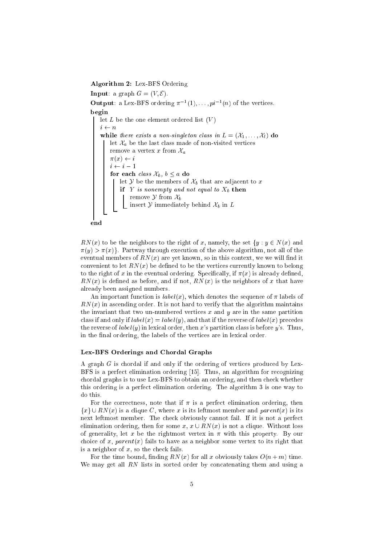Algorithm 2: Lex-BFS Ordering

**Input:** a graph  $G = (V, \mathcal{E})$ . **Output:** a Lex-BFS ordering  $\pi^{-1}$ ,  $\ldots$ ,  $pi^{-1}$  *(n)* or the vertices. begin let  $L$  be the one element ordered list  $(V)$  $i \leftarrow n$ while there exists a non-singleton class in  $L = (\mathcal{X}_1, \ldots, \mathcal{X}_l)$  do let  $\mathcal{X}_a$  be the last class made of non-visited vertices remove a vertex x from  $\mathcal{X}_a$  $\pi(x) \leftarrow i$  $i \leftarrow i - 1$ for each *class*  $\mathcal{X}_b$ ,  $b \leq a$  do let  $\mathcal Y$  be the members of  $\mathcal X_b$  that are adjacent to x if Y is nonempty and not equal to  $X_b$  then remove  $\mathcal Y$  from  $\mathcal X_b$ insert  $\mathcal Y$  immediately behind  $\mathcal X_b$  in  $L$ end

 $RN(x)$  to be the neighbors to the right of x, namely, the set  $\{y : y \in N(x) \text{ and }$  $\pi(y) > \pi(x)$ . Partway through execution of the above algorithm, not all of the eventual members of  $RN(x)$  are yet known, so in this context, we we will find it convenient to let  $RN(x)$  be defined to be the vertices currently known to belong to the right of x in the eventual ordering. Specifically, if  $\pi(x)$  is already defined,  $RN(x)$  is defined as before, and if not,  $RN(x)$  is the neighbors of x that have already been assigned numbers.

An important function is  $label(x)$ , which denotes the sequence of  $\pi$  labels of  $RN(x)$  in ascending order. It is not hard to verify that the algorithm maintains the invariant that two un-numbered vertices  $x$  and  $y$  are in the same partition class if and only if  $label(x) = label(y)$ , and that if the reverse of  $label(x)$  precedes the reverse of  $label(y)$  in lexical order, then x's partition class is before y's. Thus, in the final ordering, the labels of the vertices are in lexical order.

#### Lex-BFS Orderings and Chordal Graphs

A graph  $G$  is chordal if and only if the ordering of vertices produced by Lex-BFS is a perfect elimination ordering [15]. Thus, an algorithm for recognizing chordal graphs is to use Lex-BFS to obtain an ordering, and then check whether this ordering is a perfect elimination ordering. The algorithm 3 is one way to do this.

For the correctness, note that if  $\pi$  is a perfect elimination ordering, then  ${x} \cup RN(x)$  is a clique C, where x is its leftmost member and parent(x) is its next leftmost member. The check obviously cannot fail. If it is not a perfect elimination ordering, then for some x,  $x \cup RN(x)$  is not a clique. Without loss of generality, let x be the rightmost vertex in  $\pi$  with this property. By our choice of x, parent(x) fails to have as a neighbor some vertex to its right that is a neighbor of  $x$ , so the check fails.

For the time bound, finding  $RN(x)$  for all x obviously takes  $O(n+m)$  time. We may get all  $RN$  lists in sorted order by concatenating them and using a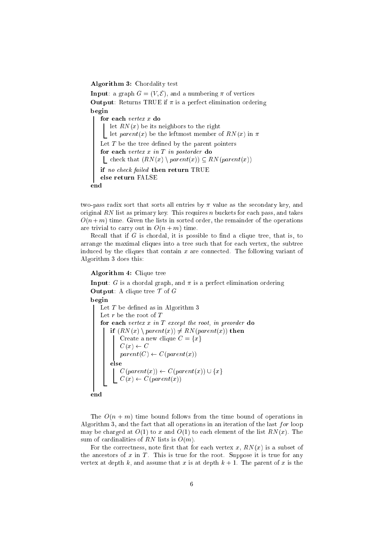Algorithm 3: Chordality test

**Input**: a graph  $G = (V, \mathcal{E})$ , and a numbering  $\pi$  of vertices **Output:** Returns TRUE if  $\pi$  is a perfect elimination ordering begin for each vertex x do let  $RN(x)$  be its neighbors to the right L let  $parent(x)$  be the leftmost member of  $RN(x)$  in  $\pi$ Let  $T$  be the tree defined by the parent pointers for each vertex x in T in postorder do  $\bigcup$  check that  $(RN(x) \setminus parent(x)) \subseteq RN(parent(x))$ if no check failed then return TRUE else return FALSE end

two-pass radix sort that sorts all entries by  $\pi$  value as the secondary key, and original RN list as primary key. This requires n buckets for each pass, and takes  $O(n+m)$  time. Given the lists in sorted order, the remainder of the operations are trivial to carry out in  $O(n + m)$  time.

Recall that if  $G$  is chordal, it is possible to find a clique tree, that is, to arrange the maximal cliques into a tree such that for each vertex, the subtree induced by the cliques that contain  $x$  are connected. The following variant of Algorithm 3 does this:

## Algorithm 4: Clique tree

**Input:** G is a chordal graph, and  $\pi$  is a perfect elimination ordering **Output:** A clique tree  $\mathcal T$  of  $G$ begin Let  $T$  be defined as in Algorithm 3 Let  $r$  be the root of  $T$ for each vertex  $x$  in  $T$  except the root, in preorder do if  $(RN(x) \setminus parent(x)) \neq RN(parent(x))$  then Create a new clique  $C = \{x\}$  $C(x) \leftarrow C$  $parent(C) \leftarrow C(parent(x))$ else C(parent(x)) C(parent(x)) [ fxg  $C = \{x_1, x_2, ..., x_n\}$ end

The  $O(n + m)$  time bound follows from the time bound of operations in Algorithm 3, and the fact that all operations in an iteration of the last  $for$  loop may be charged at  $O(1)$  to x and  $O(1)$  to each element of the list  $RN(x)$ . The sum of cardinalities of RN lists is  $O(m)$ .

For the correctness, note first that for each vertex  $x, RN(x)$  is a subset of the ancestors of  $x$  in  $T$ . This is true for the root. Suppose it is true for any vertex at depth k, and assume that x is at depth  $k + 1$ . The parent of x is the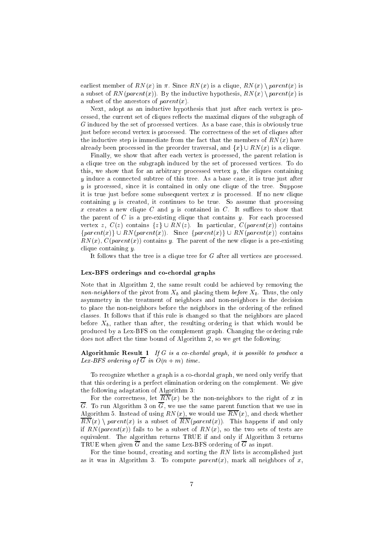earliest member of RN(x) in  $\pi$ . Since RN(x) is a clique, RN(x)  $\eta$  parent(x) is a subset of  $RN(parent(x))$ . By the inductive hypothesis,  $RN(x) \setminus parent(x)$  is a subset of the ancestors of  $parent(x)$ .

Next, adopt as an inductive hypothesis that just after each vertex is processed, the current set of cliques reflects the maximal cliques of the subgraph of G induced by the set of processed vertices. As a base case, this is obviously true just before second vertex is processed. The correctness of the set of cliques after the inductive step is immediate from the fact that the members of  $RN(x)$  have already been processed in the preorder traversal, and  $\{x\} \cup RN(x)$  is a clique.

Finally, we show that after each vertex is processed, the parent relation is a clique tree on the subgraph induced by the set of processed vertices. To do this, we show that for an arbitrary processed vertex  $y$ , the cliques containing y induce a connected subtree of this tree. As a base case, it is true just after y is processed, since it is contained in only one clique of the tree. Suppose it is true just before some subsequent vertex  $x$  is processed. If no new clique containing  $y$  is created, it continues to be true. So assume that processing x creates a new clique C and y is contained in C. It suffices to show that the parent of C is a pre-existing clique that contains y. For each processed vertex z,  $C(z)$  contains  $\{z\} \cup RN(z)$ . In particular,  $C(parent(x))$  contains  ${parent(x)} \cup RN(parent(x))$ . Since  ${parent(x)} \cup RN(parent(x))$  contains  $RN(x)$ ,  $C(parent(x))$  contains y. The parent of the new clique is a pre-existing clique containing y.

It follows that the tree is a clique tree for  $G$  after all vertices are processed.

### Lex-BFS orderings and co-chordal graphs

Note that in Algorithm 2, the same result could be achieved by removing the non-neighbors of the pivot from  $X_b$  and placing them before  $X_b$ . Thus, the only asymmetry in the treatment of neighbors and non-neighbors is the decision to place the non-neighbors before the neighbors in the ordering of the refined classes. It follows that if this rule is changed so that the neighbors are placed before  $X_b$ , rather than after, the resulting ordering is that which would be produced by a Lex-BFS on the complement graph. Changing the ordering rule does not affect the time bound of Algorithm 2, so we get the following:

Algorithmic Result  $1$  If G is a co-chordal graph, it is possible to produce a Lex-BFS ordering of  $\overline{G}$  in  $O(n+m)$  time.

To recognize whether a graph is a co-chordal graph, we need only verify that that this ordering is a perfect elimination ordering on the complement. We give the following adaptation of Algorithm 3:

For the correctness, let  $\overline{RN}(x)$  be the non-neighbors to the right of x in  $\overline{G}$ . To run Algorithm 3 on  $\overline{G}$ , we use the same parent function that we use in Algorithm 5. Instead of using  $RN(x)$ , we would use  $\overline{RN}(x)$ , and check whether  $\overline{RN}(x) \setminus parent(x)$  is a subset of  $\overline{RN}(parent(x))$ . This happens if and only if  $RN(parent(x))$  fails to be a subset of  $RN(x)$ , so the two sets of tests are equivalent. The algorithm returns TRUE if and only if Algorithm 3 returns TRUE when given  $\overline{G}$  and the same Lex-BFS ordering of  $\overline{G}$  as input.

For the time bound, creating and sorting the RN lists is accomplished just as it was in Algorithm 3. To compute  $parent(x)$ , mark all neighbors of x,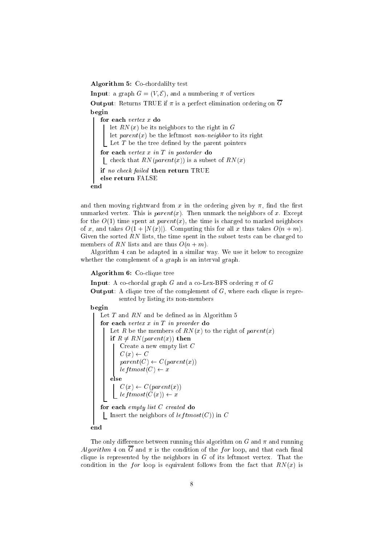Algorithm 5: Co-chordalilty test

**Input**: a graph  $G = (V, \mathcal{E})$ , and a numbering  $\pi$  of vertices **Output:** Returns TRUE if  $\pi$  is a perfect elimination ordering on  $\overline{G}$ begin for each vertex x do let  $RN(x)$  be its neighbors to the right in G let  $parent(x)$  be the leftmost non-neighbor to its right Let  $T$  be the tree defined by the parent pointers for each vertex  $x$  in  $T$  in postorder do | check that  $RN(parent(x))$  is a subset of  $RN(x)$ if no check failed then return TRUE else return FALSE end

and then moving rightward from x in the ordering given by  $\pi$ , find the first unmarked vertex. This is  $parent(x)$ . Then unmark the neighbors of x. Except for the  $O(1)$  time spent at parent(x), the time is charged to marked neighbors of x, and takes  $O(1+|N(x)|)$ . Computing this for all x thus takes  $O(n+m)$ . Given the sorted  $RN$  lists, the time spent in the subset tests can be charged to members of RN lists and are thus  $O(n + m)$ .

Algorithm 4 can be adapted in a similar way. We use it below to recognize whether the complement of a graph is an interval graph.

### Algorithm 6: Co-clique tree

**Input:** A co-chordal graph G and a co-Lex-BFS ordering  $\pi$  of G

**Output:** A clique tree of the complement of  $G$ , where each clique is represented by listing its non-members

begin

Let  $T$  and  $RN$  and be defined as in Algorithm 5 for each vertex  $x$  in  $T$  in preorder do Let R be the members of  $RN(x)$  to the right of parent(x) if  $R \neq RN(parent(x))$  then Create a new empty list C  $C(x) \leftarrow C$  $parent(C) \leftarrow C(parent(x))$  $leftmost(C) \leftarrow x$ else  $C = \{x_1, x_2, ..., x_n\}$ lef tmost(C(x)) x for each empty list C created do Insert the neighbors of  $leftmost(C)$  in C

end

The only difference between running this algorithm on  $G$  and  $\pi$  and running Algorithm 4 on  $\overline{G}$  and  $\pi$  is the condition of the for loop, and that each final clique is represented by the neighbors in  $G$  of its leftmost vertex. That the condition in the *for* loop is equivalent follows from the fact that  $RN(x)$  is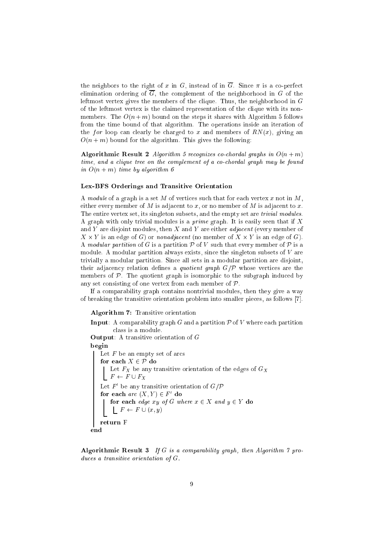the neighbors to the right of x in G, instead of in  $\overline{G}$ . Since  $\pi$  is a co-perfect elimination ordering of  $\overline{G}$ , the complement of the neighborhood in G of the leftmost vertex gives the members of the clique. Thus, the neighborhood in G of the leftmost vertex is the claimed representation of the clique with its nonmembers. The  $O(n+m)$  bound on the steps it shares with Algorithm 5 follows from the time bound of that algorithm. The operations inside an iteration of the for loop can clearly be charged to x and members of  $RN(x)$ , giving an  $O(n + m)$  bound for the algorithm. This gives the following:

Algorithmic Result 2 Algorithm 5 recognizes co-chordal graphs in  $O(n+m)$ time, and a clique tree on the complement of a co-chordal graph may be found in  $O(n + m)$  time by algorithm 6

#### Lex-BFS Orderings and Transitive Orientation

A module of a graph is a set  $M$  of vertices such that for each vertex  $x$  not in  $M$ , either every member of M is adjacent to x, or no member of M is adjacent to x. The entire vertex set, its singleton subsets, and the empty set are *trivial modules*. A graph with only trivial modules is a *prime* graph. It is easily seen that if  $X$ and Y are disjoint modules, then X and Y are either *adjacent* (every member of X - Y is an edge of G) or nonadjacent (no member of X - Y is an edge of G). A modular partition of G is a partition  $P$  of V such that every member of P is a module. A modular partition always exists, since the singleton subsets of  $V$  are trivially a modular partition. Since all sets in a modular partition are disjoint, their adjacency relation defines a *quotient graph*  $G/P$  whose vertices are the members of  $P$ . The quotient graph is isomorphic to the subgraph induced by any set consisting of one vertex from each member of  $P$ .

If a comparability graph contains nontrivial modules, then they give a way of breaking the transitive orientation problem into smaller pieces, as follows [7].

Algorithm 7: Transitive orientation

**Input:** A comparability graph G and a partition  $\mathcal{P}$  of V where each partition class is a module. Output: A transitive orientation of G begin Let  $F$  be an empty set of arcs for each  $X \in \mathcal{P}$  do Let  $F_X$  be any transitive orientation of the edges of  $G_X$  $F \leftarrow F \cup F_X$ Let  $F$  be any transitive orientation of  $G/F$ for each arc  $(X, Y) \in F'$  do for each edge xy of G where x <sup>2</sup> X and y <sup>2</sup> Y do F F [ (x; y) return F end

Algorithmic Result 3 If G is a comparability graph, then Algorithm  $\gamma$  produces a transitive orientation of G.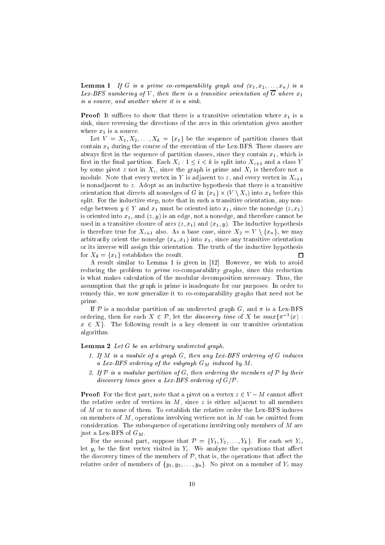**Lemma 1** If G is a prime co-comparability graph and  $(x_1, x_2, \ldots, x_n)$  is a Lex-BFS numbering of V, then there is a transitive orientation of  $\overline{G}$  where  $x_1$ is a source, and another where it is a sink.

**Proof:** It suffices to show that there is a transitive orientation where  $x_1$  is a sink, since reversing the directions of the arcs in this orientation gives another where  $x_1$  is a source.

Let  $V = X_1, X_2, \ldots, X_k = \{x_1\}$  be the sequence of partition classes that contain  $x_1$  during the course of the execution of the Lex-BFS. These classes are always first in the sequence of partition classes, since they contain  $x_1$ , which is first in the final partition. Each  $X_i : 1 \leq i \leq k$  is split into  $X_{i+1}$  and a class Y by some pivot z not in  $X_i$ , since the graph is prime and  $X_i$  is therefore not a module. Note that every vertex in Y is adjacent to z, and every vertex in  $X_{i+1}$ is nonadjacent to  $z$ . Adopt as an inductive hypothesis that there is a transitive orientation that directs all nonedges of G in  $\{x_1\}\times (V\setminus A_i)$  like  $x_1$  before this split. For the inductive step, note that in such a transitive orientation, any nonedge between  $y \in Y$  and  $x_1$  must be oriented into  $x_1$ , since the nonedge  $(z, x_1)$ is oriented into  $x_1$ , and  $(z, y)$  is an edge, not a nonedge, and therefore cannot be used in a transitive closure of arcs  $(z, x_1)$  and  $(x_1, y)$ . The inductive hypothesis is therefore true for  $X_{i+1}$  also. As a base case, since  $X_2 = V \setminus \{x_n\}$ , we may arbitrarily orient the nonedge  $(x_n, x_1)$  into  $x_1$ , since any transitive orientation or its inverse will assign this orientation. The truth of the inductive hypothesis for  $X_k = \{x_1\}$  establishes the result.  $\Box$ 

A result similar to Lemma 1 is given in [12]. However, we wish to avoid reducing the problem to *prime* co-comparability graphs, since this reduction is what makes calculation of the modular decomposition necessary. Thus, the assumption that the graph is prime is inadequate for our purposes. In order to remedy this, we now generalize it to co-comparability graphs that need not be prime.

If P is a modular partition of an undirected graph G, and  $\pi$  is a Lex-BFS ordering, then for each  $X \in \mathcal{P}$ , let the *alscovery time* of X be  $max\{\pi^{-1}(x) :$  $x \in X$ . The following result is a key element in our transitive orientation algorithm.

**Lemma 2** Let  $G$  be an arbitrary undirected graph.

- 1. If M is a module of a graph G, then any Lex-BFS ordering of G induces a Lex-BFS ordering of the subgraph  $G_M$  induced by M.
- 2. If  $P$  is a modular partition of  $G$ , then ordering the members of  $P$  by their discovery times gives a Lex-BFS ordering of  $G/P$ .

**Proof:** For the first part, note that a pivot on a vertex  $z \in V - M$  cannot affect the relative order of vertices in  $M$ , since  $z$  is either adjacent to all members of M or to none of them. To establish the relative order the Lex-BFS induces on members of  $M$ , operations involving vertices not in  $M$  can be omitted from consideration. The subsequence of operations involving only members of  $M$  are just a Lex-BFS of  $G_M$ .

For the second part, suppose that  $\mathcal{P} = \{Y_1, Y_2, \ldots, Y_k\}$ . For each set  $Y_i$ , let  $y_i$  be the first vertex visited in  $Y_i$ . We analyze the operations that affect the discovery times of the members of  $P$ , that is, the operations that affect the relative order of members of  $\{y_1, y_2, \ldots, y_n\}$ . No pivot on a member of  $Y_i$  may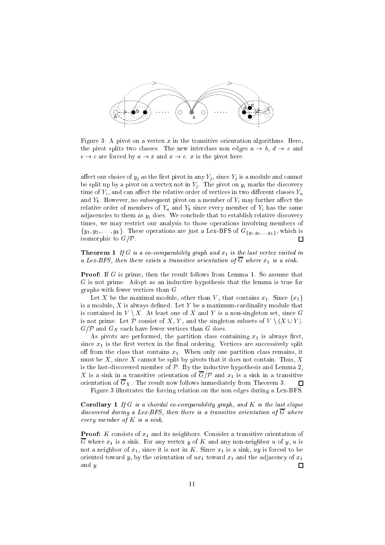

Figure 3: A pivot on a vertex x in the transitive orientation algorithms. Here, the pivot splits two classes. The new interclass non edges  $a \rightarrow b, d \rightarrow c$  and  $e \rightarrow c$  are forced by  $a \rightarrow x$  and  $x \rightarrow c$ . x is the pivot here.

affect our choice of  $y_j$  as the first pivot in any  $Y_j$ , since  $Y_j$  is a module and cannot be split up by a pivot on a vertex not in  $Y_j$ . The pivot on  $y_i$  marks the discovery time of  $Y_i$ , and can affect the relative order of vertices in two different classes  $Y_a$ and  $Y_b$ . However, no subsequent pivot on a member of  $Y_i$  may further affect the relative order of members of  $Y_a$  and  $Y_b$  since every member of  $Y_i$  has the same adjacencies to them as  $y_i$  does. We conclude that to establish relative discovery times, we may restrict our analysis to those operations involving members of  ${y_1, y_2, \ldots, y_k}$ . These operations are just a Lex-BFS of  $G_{\{y_1, y_2, \ldots, y_k\}}$ , which is isomorphic to  $G/\mathcal{P}$ .  $\Box$ 

**Theorem 1** If G is a co-comparability graph and  $x_1$  is the last vertex visited in a Lex-BFS, then there exists a transitive orientation of  $\overline{G}$  where  $x_1$  is a sink.

**Proof:** If G is prime, then the result follows from Lemma 1. So assume that G is not prime. Adopt as an inductive hypothesis that the lemma is true for graphs with fewer vertices than G.

Let X be the maximal module, other than V, that contains  $x_1$ . Since  $\{x_1\}$ is a module,  $X$  is always defined. Let  $Y$  be a maximum-cardinality module that is contained in  $V \setminus X$ . At least one of X and Y is a non-singleton set, since G is not prime. Let P consist of X, Y, and the singleton subsets of  $V \setminus (X \cup Y)$ .  $G/\mathcal{P}$  and  $G_X$  each have fewer vertices than G does.

As pivots are performed, the partition class containing  $x_1$  is always first, since  $x_1$  is the first vertex in the final ordering. Vertices are successively split off from the class that contains  $x_1$ . When only one partition class remains, it must be X, since X cannot be split by pivots that it does not contain. Thus, X is the last-discovered member of  $P$ . By the inductive hypothesis and Lemma 2, X is a sink in a transitive orientation of  $\overline{G}/P$  and  $x_1$  is a sink in a transitive orientation of  $\overline{G}_X$ . The result now follows immediately from Theorem 3. П

Figure 3 illustrates the forcing relation on the non edges during a Lex-BFS.

**Corollary 1** If G is a chordal co-comparability graph, and K is the last clique discovered during a Lex-BFS, then there is a transitive orientation of  $\overline{G}$  where every member of K is a sink.

**Proof:** K consists of  $x_1$  and its neighbors. Consider a transitive orientation of  $\overline{G}$  where  $x_1$  is a sink. For any vertex y of K and any non-neighbor u of y, u is not a neighbor of  $x_1$ , since it is not in K. Since  $x_1$  is a sink, uy is forced to be oriented toward y, by the orientation of  $ux_1$  toward  $x_1$  and the adjacency of  $x_1$ and y.  $\Box$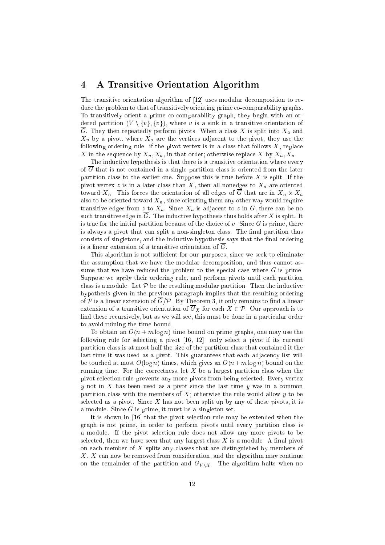#### 4 4 A Transitive Orientation Algorithm

The transitive orientation algorithm of [12] uses modular decomposition to reduce the problem to that of transitively orienting prime co-comparability graphs. To transitively orient a prime co-comparability graph, they begin with an ordered partition  $(V \setminus \{v\}, \{v\})$ , where v is a sink in a transitive orientation of  $\overline{G}$ . They then repeatedly perform pivots. When a class X is split into  $X_a$  and  $X_n$  by a pivot, where  $X_n$  are the vertices adjacent to the pivot, they use the following ordering rule: if the pivot vertex is in a class that follows  $X$ , replace X in the sequence by  $X_n, X_a$ , in that order; otherwise replace X by  $X_n, X_n$ .

The inductive hypothesis is that there is a transitive orientation where every of  $\overline{G}$  that is not contained in a single partition class is oriented from the later partition class to the earlier one. Suppose this is true before  $X$  is split. If the pivot vertex z is in a later class than  $X$ , then all nonedges to  $X_n$  are oriented toward  $\Delta n$ . This forces the orientation of an edges of G that are in  $\Delta n$   $\wedge$   $\Delta n$ also to be oriented toward  $X_n$ , since orienting them any other way would require transitive edges from z to  $X_a$ . Since  $X_a$  is adjacent to z in G, there can be no such transitive edge in  $\overline{G}$ . The inductive hypothesis thus holds after X is split. It is true for the initial partition because of the choice of  $v$ . Since  $G$  is prime, there is always a pivot that can split a non-singleton class. The final partition thus consists of singletons, and the inductive hypothesis says that the final ordering is a linear extension of a transitive orientation of  $\overline{G}$ .

This algorithm is not sufficient for our purposes, since we seek to eliminate the assumption that we have the modular decomposition, and thus cannot assume that we have reduced the problem to the special case where  $G$  is prime. Suppose we apply their ordering rule, and perform pivots until each partition class is a module. Let  $P$  be the resulting modular partition. Then the inductive hypothesis given in the previous paragraph implies that the resulting ordering of P is a linear extension of  $\overline{G}/P$ . By Theorem 3, it only remains to find a linear extension of a transitive orientation of  $\overline{G}_X$  for each  $X \in \mathcal{P}$ . Our approach is to find these recursively, but as we will see, this must be done in a particular order to avoid ruining the time bound.

To obtain an  $O(n + m \log n)$  time bound on prime graphs, one may use the following rule for selecting a pivot [16, 12]: only select a pivot if its current partition class is at most half the size of the partition class that contained it the last time it was used as a pivot. This guarantees that each adjacency list will be touched at most  $O(\log n)$  times, which gives an  $O(n+m \log n)$  bound on the running time. For the correctness, let  $X$  be a largest partition class when the pivot selection rule prevents any more pivots from being selected. Every vertex y not in X has been used as a pivot since the last time y was in a common partition class with the members of  $X$ ; otherwise the rule would allow  $y$  to be selected as a pivot. Since  $X$  has not been split up by any of these pivots, it is a module. Since  $G$  is prime, it must be a singleton set.

It is shown in [16] that the pivot selection rule may be extended when the graph is not prime, in order to perform pivots until every partition class is a module. If the pivot selection rule does not allow any more pivots to be selected, then we have seen that any largest class  $X$  is a module. A final pivot on each member of  $X$  splits any classes that are distinguished by members of X. X can now be removed from consideration, and the algorithm may continue on the remainder of the partition and  $G_{V\setminus X}$ . The algorithm halts when no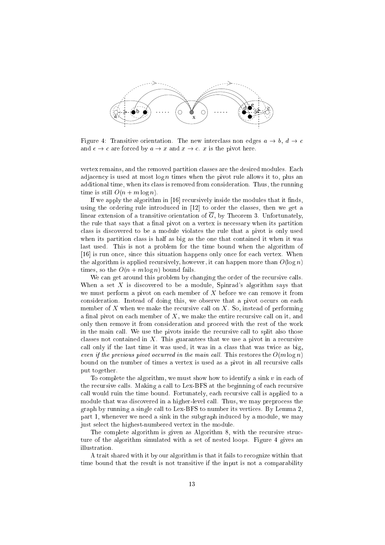

Figure 4: Transitive orientation. The new interclass non edges  $a \rightarrow b$ ,  $d \rightarrow c$ and  $e \rightarrow c$  are forced by  $a \rightarrow x$  and  $x \rightarrow c$ . x is the pivot here.

vertex remains, and the removed partition classes are the desired modules. Each adjacency is used at most  $\log n$  times when the pivot rule allows it to, plus an additional time, when its class is removed from consideration. Thus, the running time is still  $O(n + m \log n)$ .

If we apply the algorithm in  $[16]$  recursively inside the modules that it finds, using the ordering rule introduced in [12] to order the classes, then we get a linear extension of a transitive orientation of  $\overline{G}$ , by Theorem 3. Unfortunately, the rule that says that a final pivot on a vertex is necessary when its partition class is discovered to be a module violates the rule that a pivot is only used when its partition class is half as big as the one that contained it when it was last used. This is not a problem for the time bound when the algorithm of [16] is run once, since this situation happens only once for each vertex. When the algorithm is applied recursively, however, it can happen more than  $O(\log n)$ times, so the  $O(n + m \log n)$  bound fails.

We can get around this problem by changing the order of the recursive calls. When a set  $X$  is discovered to be a module, Spinrad's algorithm says that we must perform a pivot on each member of  $X$  before we can remove it from consideration. Instead of doing this, we observe that a pivot occurs on each member of X when we make the recursive call on  $X$ . So, instead of performing a final pivot on each member of  $X$ , we make the entire recursive call on it, and only then remove it from consideration and proceed with the rest of the work in the main call. We use the pivots inside the recursive call to split also those classes not contained in  $X$ . This guarantees that we use a pivot in a recursive call only if the last time it was used, it was in a class that was twice as big, even if the previous pivot occurred in the main call. This restores the  $O(m \log n)$ bound on the number of times a vertex is used as a pivot in all recursive calls put together.

To complete the algorithm, we must show how to identify a sink  $v$  in each of the recursive calls. Making a call to Lex-BFS at the beginning of each recursive call would ruin the time bound. Fortunately, each recursive call is applied to a module that was discovered in a higher-level call. Thus, we may preprocess the graph by running a single call to Lex-BFS to number its vertices. By Lemma 2, part 1, whenever we need a sink in the subgraph induced by a module, we may just select the highest-numbered vertex in the module.

The complete algorithm is given as Algorithm 8, with the recursive structure of the algorithm simulated with a set of nested loops. Figure 4 gives an illustration.

A trait shared with it by our algorithm is that it fails to recognize within that time bound that the result is not transitive if the input is not a comparability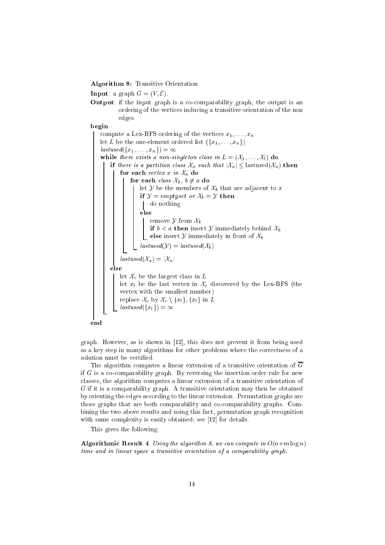Algorithm 8: Transitive Orientation

**Input:** a graph  $G = (V, \mathcal{E})$ .

Output: if the input graph is a co-comparability graph, the output is an ordering of the vertices inducing a transitive orientation of the non edges.

begin

compute a Lex-BFS ordering of the vertices  $x_1, \ldots, x_n$ let L be the one-element ordered list  $({x_1}, \ldots, x_n)$  $lastused({x_1}, \ldots, x_n) = \infty$ while there exists a non-singleton class in  $L = (\mathcal{X}_1, \ldots, \mathcal{X}_l)$  do if there is a partition class  $\mathcal{X}_a$  such that  $|\mathcal{X}_a| \leq$  lastused $(\mathcal{X}_a)$  then for each vertex x in  $\mathcal{X}_a$  do for each *class*  $\mathcal{X}_b$ ,  $b \neq a$  do let Y be the members of  $\mathcal{X}_b$  that are adjacent to x if  $\mathcal{Y} = \text{empty set or } \mathcal{X}_b = \mathcal{Y}$  then do nothing else remove  $y$  from  $\alpha_b$ if  $v < u$  then insert  $y$  immediately behind  $\lambda_b$ else insert  $y$  immediately in from of  $\alpha_b$  $\overline{lastused}(\mathcal{Y})=lastused(\mathcal{X}_b)$  $lastused(\mathcal{X}_a) = |\mathcal{X}_a|$ else let  $\mathcal{X}_c$  be the largest class in  $L$ let  $x_l$  be the last vertex in  $\mathcal{X}_c$  discovered by the Lex-BFS (the vertex with the smallest number) replace  $\mathcal{X}_c$  by  $\mathcal{X}_c \setminus \{x_l\}, \{x_l\}$  in L  $lastused({x_l}) = \infty$ end

graph. However, as is shown in [12], this does not prevent it from being used as a key step in many algorithms for other problems where the correctness of a solution must be certified.

The algorithm computes a linear extension of a transitive orientation of  $\overline{G}$ if  $G$  is a co-comparability graph. By reversing the insertion order rule for new classes, the algorithm computes a linear extension of a transitive orientation of G if it is a comparability graph. A transitive orientation may then be obtained by orienting the edges according to the linear extension. Permutation graphs are those graphs that are both comparability and co-comparability graphs. Combining the two above results and using this fact, permutation graph recognition with same complexity is easily obtained; see [12] for details.

This gives the following:

Algorithmic Result 4 Using the algorithm 8, we can compute in  $O(n+m \log n)$ time and in linear space a transitive orientation of a comparability graph.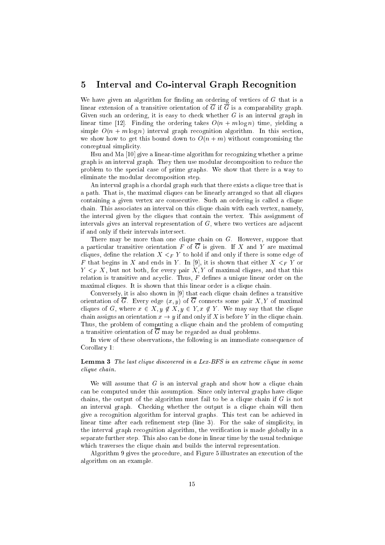#### 5 5 Interval and Co-interval Graph Recognition

We have given an algorithm for finding an ordering of vertices of  $G$  that is a linear extension of a transitive orientation of  $\overline{G}$  if  $\overline{G}$  is a comparability graph. Given such an ordering, it is easy to check whether  $G$  is an interval graph in linear time [12]. Finding the ordering takes  $O(n + m \log n)$  time, yielding a simple  $O(n + m \log n)$  interval graph recognition algorithm. In this section, we show how to get this bound down to  $O(n+m)$  without compromising the conceptual simplicity.

Hsu and Ma [10] give a linear-time algorithm for recognizing whether a prime graph is an interval graph. They then use modular decomposition to reduce the problem to the special case of prime graphs. We show that there is a way to eliminate the modular decomposition step.

An interval graph is a chordal graph such that there exists a clique tree that is a path. That is, the maximal cliques can be linearly arranged so that all cliques containing a given vertex are consecutive. Such an ordering is called a clique chain. This associates an interval on this clique chain with each vertex, namely, the interval given by the cliques that contain the vertex. This assignment of intervals gives an interval representation of  $G$ , where two vertices are adjacent if and only if their intervals intersect.

There may be more than one clique chain on G. However, suppose that a particular transitive orientation F of  $\overline{G}$  is given. If X and Y are maximal cliques, define the relation  $X \leq_F Y$  to hold if and only if there is some edge of F that begins in X and ends in Y. In [9], it is shown that either  $X \leq_F Y$  or  $Y \leq_F X$ , but not both, for every pair X, Y of maximal cliques, and that this relation is transitive and acyclic. Thus,  $F$  defines a unique linear order on the maximal cliques. It is shown that this linear order is a clique chain.

Conversely, it is also shown in [9] that each clique chain defines a transitive orientation of  $\overline{G}$ . Every edge  $(x, y)$  of  $\overline{G}$  connects some pair X, Y of maximal cliques of G, where  $x \in X, y \notin X, y \in Y, x \notin Y$ . We may say that the clique chain assigns an orientation  $x \to y$  if and only if X is before Y in the clique chain. Thus, the problem of computing a clique chain and the problem of computing a transitive orientation of  $\overline{G}$  may be regarded as dual problems.

In view of these observations, the following is an immediate consequence of Corollary 1:

### Lemma 3 The last clique discovered in a Lex-BFS is an extreme clique in some clique chain.

We will assume that  $G$  is an interval graph and show how a clique chain can be computed under this assumption. Since only interval graphs have clique chains, the output of the algorithm must fail to be a clique chain if  $G$  is not an interval graph. Checking whether the output is a clique chain will then give a recognition algorithm for interval graphs. This test can be achieved in linear time after each refinement step (line 3). For the sake of simplicity, in the interval graph recognition algorithm, the verication is made globally in a separate further step. This also can be done in linear time by the usual technique which traverses the clique chain and builds the interval representation.

Algorithm 9 gives the procedure, and Figure 5 illustrates an execution of the algorithm on an example.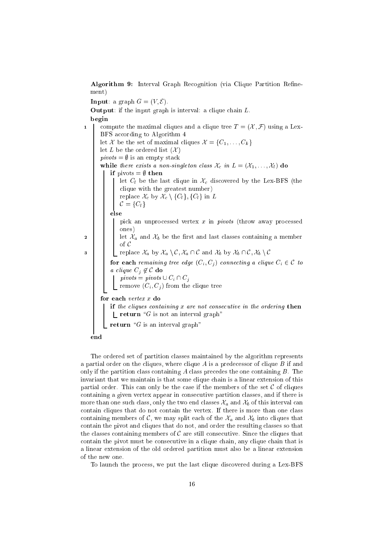Algorithm 9: Interval Graph Recognition (via Clique Partition Refinement)

**Input:** a graph  $G = (V, \mathcal{E})$ . **Output:** if the input graph is interval: a clique chain  $L$ . begin 1 compute the maximal cliques and a clique tree  $T = (\mathcal{X}, \mathcal{F})$  using a Lex-BFS according to Algorithm 4 let X be the set of maximal cliques  $\mathcal{X} = \{C_1, \ldots, C_k\}$ let L be the ordered list  $(X)$  $pivots = \emptyset$  is an empty stack while there exists a non-singleton class  $\mathcal{X}_c$  in  $L = (\mathcal{X}_1, \ldots, \mathcal{X}_l)$  do if pivots =  $\emptyset$  then let  $C_l$  be the last clique in  $\mathcal{X}_c$  discovered by the Lex-BFS (the clique with the greatest number) replace  $\mathcal{X}_c$  by  $\mathcal{X}_c \setminus \{C_l\}$ ,  $\{C_l\}$  in L  $C = \{C_l\}$ else pick an unprocessed vertex x in pivots (throw away processed ones) 2 | | | let  $\mathcal{X}_a$  and  $\mathcal{X}_b$  be the first and last classes containing a member of <sup>C</sup> 3 Peplace  $\mathcal{X}_a$  by  $\mathcal{X}_a \setminus \mathcal{C}, \mathcal{X}_a \cap \mathcal{C}$  and  $\mathcal{X}_b$  by  $\mathcal{X}_b \cap \mathcal{C}, \mathcal{X}_b \setminus \mathcal{C}$ for each remaining tree edge  $(C_i, C_j)$  connecting a clique  $C_i \in \mathcal{C}$  to a clique  $C_j \not\in C$  do  $pivots = pivots \cup C_i \cap C_j$ remove  $(C_i, C_j)$  from the clique tree for each vertex x do if the cliques containing  $x$  are not consecutive in the ordering then  $\mathcal{L}$  return "G is not an interval graph" return " $G$  is an interval graph" end

The ordered set of partition classes maintained by the algorithm represents a partial order on the cliques, where clique  $A$  is a predecessor of clique  $B$  if and only if the partition class containing  $A$  class precedes the one containing  $B$ . The invariant that we maintain is that some clique chain is a linear extension of this partial order. This can only be the case if the members of the set  $C$  of cliques containing a given vertex appear in consecutive partition classes, and if there is more than one such class, only the two end classes  $\mathcal{X}_a$  and  $\mathcal{X}_b$  of this interval can contain cliques that do not contain the vertex. If there is more than one class containing members of C, we may split each of the  $\mathcal{X}_a$  and  $\mathcal{X}_b$  into cliques that contain the pivot and cliques that do not, and order the resulting classes so that the classes containing members of  $\mathcal C$  are still consecutive. Since the cliques that contain the pivot must be consecutive in a clique chain, any clique chain that is a linear extension of the old ordered partition must also be a linear extension of the new one.

To launch the process, we put the last clique discovered during a Lex-BFS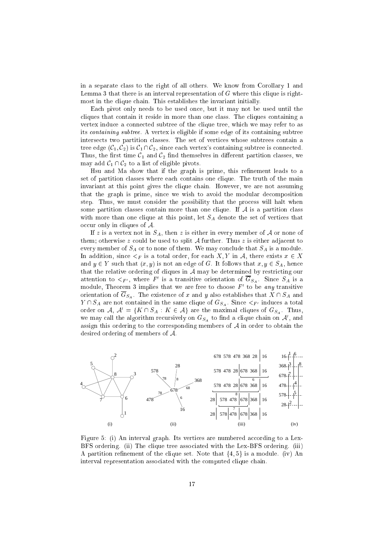in a separate class to the right of all others. We know from Corollary 1 and Lemma 3 that there is an interval representation of  $G$  where this clique is rightmost in the clique chain. This establishes the invariant initially.

Each pivot only needs to be used once, but it may not be used until the cliques that contain it reside in more than one class. The cliques containing a vertex induce a connected subtree of the clique tree, which we may refer to as its containing subtree. A vertex is eligible if some edge of its containing subtree intersects two partition classes. The set of vertices whose subtrees contain a tree edge  $(\mathcal{C}_1, \mathcal{C}_2)$  is  $\mathcal{C}_1 \cap \mathcal{C}_2$ , since each vertex's containing subtree is connected. Thus, the first time  $C_1$  and  $C_2$  find themselves in different partition classes, we may add  $C_1 \cap C_2$  to a list of eligible pivots.

Hsu and Ma show that if the graph is prime, this refinement leads to a set of partition classes where each contains one clique. The truth of the main invariant at this point gives the clique chain. However, we are not assuming that the graph is prime, since we wish to avoid the modular decomposition step. Thus, we must consider the possibility that the process will halt when some partition classes contain more than one clique. If  $A$  is a partition class with more than one clique at this point, let  $S_A$  denote the set of vertices that occur only in cliques of  $A$ .

If z is a vertex not in  $S_A$ , then z is either in every member of A or none of them; otherwise  $z$  could be used to split  $A$  further. Thus  $z$  is either adjacent to every member of  $S_A$  or to none of them. We may conclude that  $S_A$  is a module. In addition, since  $\leq_F$  is a total order, for each X, Y in A, there exists  $x \in X$ and  $y \in Y$  such that  $(x, y)$  is not an edge of G. It follows that  $x, y \in S_A$ , hence that the relative ordering of cliques in  $A$  may be determined by restricting our attention to  $\leq_{F'},$  where F is a transitive orientation of  $\mathrm{G}_{S_A}$ . Since  $S_A$  is a module, I neorem 3 implies that we are free to choose  $F$  to be any transitive orientation of  $\overline{G}_{S_A}$ . The existence of x and y also establishes that  $X \cap S_A$  and  $Y \cap S_A$  are not contained in the same clique of  $G_{S_A}$ . Since  $\lt_{F'}$  induces a total order on A,  $A' = \{K \cap S_A : K \in \mathcal{A}\}\$ are the maximal cliques of  $G_{S_A}$ . Thus, we may can the algorithm recursively on  $\mathbf{G}_{S_A}$  to find a chque chain on  $\mathcal A$  , and assign this ordering to the corresponding members of  $A$  in order to obtain the desired ordering of members of A.



Figure 5: (i) An interval graph. Its vertices are numbered according to a Lex-BFS ordering. (ii) The clique tree associated with the Lex-BFS ordering. (iii) A partition refinement of the clique set. Note that  $\{4, 5\}$  is a module. (iv) An interval representation associated with the computed clique chain.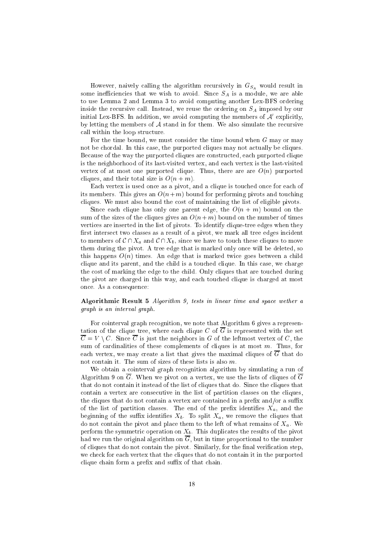However, naively calling the algorithm recursively in  $G_{S_A}$  would result in some inefficiencies that we wish to avoid. Since  $S_A$  is a module, we are able to use Lemma 2 and Lemma 3 to avoid computing another Lex-BFS ordering inside the recursive call. Instead, we reuse the ordering on  $S_A$  imposed by our  $\min$  and  $\max$ -BFS. In addition, we avoid computing the members of  $\mathcal A$  -explicitly, by letting the members of  $A$  stand in for them. We also simulate the recursive call within the loop structure.

For the time bound, we must consider the time bound when  $G$  may or may not be chordal. In this case, the purported cliques may not actually be cliques. Because of the way the purported cliques are constructed, each purported clique is the neighborhood of its last-visited vertex, and each vertex is the last-visited vertex of at most one purported clique. Thus, there are are  $O(n)$  purported cliques, and their total size is  $O(n + m)$ .

Each vertex is used once as a pivot, and a clique is touched once for each of its members. This gives an  $O(n+m)$  bound for performing pivots and touching cliques. We must also bound the cost of maintaining the list of eligible pivots.

Since each clique has only one parent edge, the  $O(n + m)$  bound on the sum of the sizes of the cliques gives an  $O(n+m)$  bound on the number of times vertices are inserted in the list of pivots. To identify clique-tree edges when they first intersect two classes as a result of a pivot, we mark all tree edges incident to members of  $\mathcal{C} \cap X_a$  and  $\mathcal{C} \cap X_b$ , since we have to touch these cliques to move them during the pivot. A tree edge that is marked only once will be deleted, so this happens  $O(n)$  times. An edge that is marked twice goes between a child clique and its parent, and the child is a touched clique. In this case, we charge the cost of marking the edge to the child. Only cliques that are touched during the pivot are charged in this way, and each touched clique is charged at most once. As a consequence:

Algorithmic Result 5 Algorithm 9, tests in linear time and space wether a graph is an interval graph.

For cointerval graph recognition, we note that Algorithm 6 gives a representation of the clique tree, where each clique C of  $\overline{G}$  is represented with the set  $\overline{C} = V \setminus C$ . Since  $\overline{C}$  is just the neighbors in G of the leftmost vertex of C, the sum of cardinalities of these complements of cliques is at most  $m$ . Thus, for each vertex, we may create a list that gives the maximal cliques of  $\overline{G}$  that do not contain it. The sum of sizes of these lists is also m.

We obtain a cointerval graph recognition algorithm by simulating a run of Algorithm 9 on  $\overline{G}$ . When we pivot on a vertex, we use the lists of cliques of  $\overline{G}$ that do not contain it instead of the list of cliques that do. Since the cliques that contain a vertex are consecutive in the list of partition classes on the cliques, the cliques that do not contain a vertex are contained in a prefix and/or a suffix of the list of partition classes. The end of the prefix identifies  $X_a$ , and the beginning of the suffix identifies  $X_b$ . To split  $X_a$ , we remove the cliques that do not contain the pivot and place them to the left of what remains of  $X_a$ . We perform the symmetric operation on  $A_b$ . This duplicates the results of the prvot had we run the original algorithm on G, but in time proportional to the number of cliques that do not contain the pivot. Similarly, for the final verification step, we check for each vertex that the cliques that do not contain it in the purported clique chain form a prefix and suffix of that chain.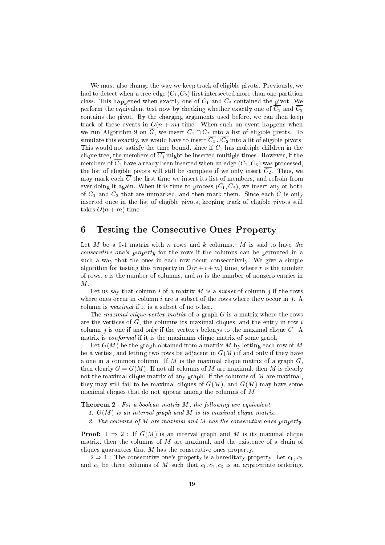We must also change the way we keep track of eligible pivots. Previously, we had to detect when a tree edge  $(C_1, C_2)$  first intersected more than one partition class. This happened when exactly one of  $C_1$  and  $C_2$  contained the pivot. We perform the equivalent test now by checking whether exactly one of  $\overline{C_1}$  and  $\overline{C_2}$ contains the pivot. By the charging arguments used before, we can then keep track of these events in  $O(n + m)$  time. When such an event happens when we run Algorithm 9 on  $\overline{G}$ , we insert  $C_1 \cap C_2$  into a list of eligible pivots. To simulate this exactly, we would have to insert  $\overline{C_1} \cup \overline{C_2}$  into a lit of eligible pivots. This would not satisfy the time bound, since if  $C_1$  has multiple children in the clique tree, the members of  $\overline{C_1}$  might be inserted multiple times. However, if the members of  $\overline{C_1}$  have already been inserted when an edge  $(C_1, C_3)$  was processed, the list of eligible pivots will still be complete if we only insert  $\overline{C_2}$ . Thus, we may mark each  $\overline{C}$  the first time we insert its list of members, and refrain from ever doing it again. When it is time to process  $(C_1, C_2)$ , we insert any or both of  $\overline{C_1}$  and  $\overline{C_2}$  that are unmarked, and then mark them. Since each  $\overline{C}$  is only inserted once in the list of eligible pivots, keeping track of eligible pivots still takes  $O(n + m)$  time.

## 6 Testing the Consecutive Ones Property

Let M be a 0-1 matrix with n rows and k columns. M is said to have the consecutive one's property for the rows if the columns can be permuted in a such a way that the ones in each row occur consecutively. We give a simple algorithm for testing this property in  $O(r + c + m)$  time, where r is the number of rows,  $c$  is the number of columns, and  $m$  is the number of nonzero entries in  $M_{\odot}$ 

Let us say that column i of a matrix  $M$  is a *subset* of column j if the rows where ones occur in column  $i$  are a subset of the rows where they occur in  $j$ . A column is maximal if it is a subset of no other.

The maximal clique-vertex matrix of a graph  $G$  is a matrix where the rows are the vertices of  $G$ , the columns its maximal cliques, and the entry in row  $i$ column j is one if and only if the vertex i belongs to the maximal clique  $C$ . A matrix is *conformal* if it is the maximum clique matrix of some graph.

Let  $G(M)$  be the graph obtained from a matrix M by letting each row of M be a vertex, and letting two rows be adjacent in  $G(M)$  if and only if they have a one in a common column. If M is the maximal clique matrix of a graph  $G$ , then clearly  $G = G(M)$ . If not all columns of M are maximal, then M is clearly not the maximal clique matrix of any graph. If the columns of  $M$  are maximal, they may still fail to be maximal cliques of  $G(M)$ , and  $G(M)$  may have some maximal cliques that do not appear among the columns of M.

**Theorem 2** For a boolean matrix  $M$ , the following are equivalent:

- 1.  $G(M)$  is an interval graph and M is its maximal clique matrix.
- 2. The columns of M are maximal and M has the consecutive ones property.

**Proof:**  $1 \Rightarrow 2$ : If  $G(M)$  is an interval graph and M is its maximal clique matrix, then the columns of M are maximal, and the existence of a chain of cliques guarantees that  $M$  has the consecutive ones property.

 $2 \Rightarrow 1$ : The consecutive one's property is a hereditary property. Let  $c_1, c_2$ and  $c_3$  be three columns of M such that  $c_1, c_2, c_3$  is an appropriate ordering.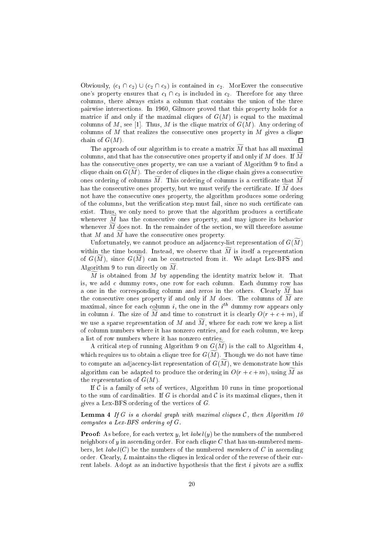Obviously,  $(c_1 \cap c_2) \cup (c_2 \cap c_3)$  is contained in  $c_2$ . MorEover the consecutive one's property ensures that  $c_1 \cap c_3$  is included in  $c_2$ . Therefore for any three columns, there always exists a column that contains the union of the three pairwise intersections. In 1960, Gilmore proved that this property holds for a matrice if and only if the maximal cliques of  $G(M)$  is equal to the maximal columns of M, see [1]. Thus, M is the clique matrix of  $G(M)$ . Any ordering of columns of M that realizes the consecutive ones property in M gives a clique chain of  $G(M)$ . П

The approach of our algorithm is to create a matrix  $\widetilde{M}$  that has all maximal columns, and that has the consecutive ones property if and only if M does. If  $\overline{M}$ has the consecutive ones property, we can use a variant of Algorithm 9 to find a clique chain on  $G(M)$ . The order of cliques in the clique chain gives a consecutive ones ordering of columns  $\widetilde{M}$ . This ordering of columns is a certificate that  $\widetilde{M}$ has the consecutive ones property, but we must verify the certificate. If  $M$  does not have the consecutive ones property, the algorithm produces some ordering of the columns, but the verication step must fail, since no such certicate can exist. Thus, we only need to prove that the algorithm produces a certificate whenever  $\widetilde{M}$  has the consecutive ones property, and may ignore its behavior whenever  $\widetilde{M}$  does not. In the remainder of the section, we will therefore assume that  $M$  and  $M$  have the consecutive ones property.

Unfortunately, we cannot produce an adjacency-list representation of  $G(\widetilde{M})$ within the time bound. Instead, we observe that  $\widetilde{M}$  is itself a representation of  $G(\widetilde{M})$ , since  $G(\widetilde{M})$  can be constructed from it. We adapt Lex-BFS and Algorithm 9 to run directly on  $\overline{M}$ .

 $\widetilde{M}$  is obtained from M by appending the identity matrix below it. That is, we add c dummy rows, one row for each column. Each dummy row has a one in the corresponding column and zeros in the others. Clearly  $M$  has the consecutive ones property if and only if M does. The columns of  $\overline{M}$  are maximal, since for each column *i*, the one in the  $i<sup>th</sup>$  dummy row appears only in column *i*. The size of  $\overline{M}$  and time to construct it is clearly  $O(r + c + m)$ , if we use a sparse representation of M and  $\widetilde{M}$ , where for each row we keep a list of column numbers where it has nonzero entries, and for each column, we keep a list of row numbers where it has nonzero entries.

A critical step of running Algorithm 9 on  $G(M)$  is the call to Algorithm 4, which requires us to obtain a clique tree for  $G(\widetilde{M})$ . Though we do not have time to compute an adjacency-list representation of  $G(\widetilde{M})$ , we demonstrate how this algorithm can be adapted to produce the ordering in  $O(r + c + m)$ , using  $\widetilde{M}$  as the representation of  $G(M)$ .

If  $\mathcal C$  is a family of sets of vertices, Algorithm 10 runs in time proportional to the sum of cardinalities. If G is chordal and C is its maximal cliques, then it gives a Lex-BFS ordering of the vertices of G.

**Lemma 4** If G is a chordal graph with maximal cliques  $C$ , then Algorithm 10 computes a Lex-BFS ordering of G.

**Proof:** As before, for each vertex  $y$ , let  $label(y)$  be the numbers of the numbered neighbors of y in ascending order. For each clique  $C$  that has un-numbered members, let  $label(C)$  be the numbers of the numbered members of C in ascending order. Clearly, L maintains the cliques in lexical order of the reverse of their current labels. Adopt as an inductive hypothesis that the first  $i$  pivots are a suffix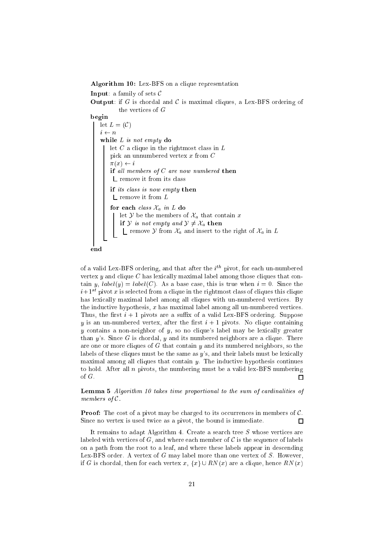Algorithm 10: Lex-BFS on a clique representation

**Input:** a family of sets  $\mathcal{C}$ 

**Output:** if G is chordal and C is maximal cliques, a Lex-BFS ordering of the vertices of G

begin

let  $L = (\mathcal{C})$  $i \leftarrow n$ while L is not empty do let  $C$  a clique in the rightmost class in  $L$ pick an unnumbered vertex x from C  $\pi(x) \leftarrow i$ if all members of  $C$  are now numbered then L remove it from its class if its class is now empty then  $L$  remove it from  $L$ for each class  $\mathcal{X}_a$  in  $L$  do let  $\mathcal Y$  be the members of  $\mathcal X_a$  that contain x if Y is not empty and  $\mathcal{Y} \neq \mathcal{X}_a$  then 1 remove Y from  $\mathcal{X}_a$  and insert to the right of  $\mathcal{X}_a$  in L



of a valid Lex-BFS ordering, and that after the  $i^{th}$  pivot, for each un-numbered vertex  $y$  and clique  $C$  has lexically maximal label among those cliques that contain y,  $label(y) = label(C)$ . As a base case, this is true when  $i = 0$ . Since the  $i+1$ <sup>st</sup> pivot x is selected from a clique in the rightmost class of cliques this clique has lexically maximal label among all cliques with un-numbered vertices. By the inductive hypothesis,  $x$  has maximal label among all un-numbered vertices. Thus, the first  $i + 1$  pivots are a suffix of a valid Lex-BFS ordering. Suppose y is an un-numbered vertex, after the first  $i + 1$  pivots. No clique containing y contains a non-neighbor of  $y$ , so no clique's label may be lexically greater than  $y$ 's. Since G is chordal,  $y$  and its numbered neighbors are a clique. There are one or more cliques of  $G$  that contain  $y$  and its numbered neighbors, so the labels of these cliques must be the same as y's, and their labels must be lexically maximal among all cliques that contain  $y$ . The inductive hypothesis continues to hold. After all  $n$  pivots, the numbering must be a valid lex-BFS numbering of G.  $\Box$ 

Lemma 5 Algorithm 10 takes time proportional to the sum of cardinalities of members of C.

**Proof:** The cost of a pivot may be charged to its occurrences in members of  $\mathcal{C}$ . Since no vertex is used twice as a pivot, the bound is immediate.  $\Box$ 

It remains to adapt Algorithm 4. Create a search tree S whose vertices are labeled with vertices of  $G$ , and where each member of  $C$  is the sequence of labels on a path from the root to a leaf, and where these labels appear in descending Lex-BFS order. A vertex of  $G$  may label more than one vertex of  $S$ . However, if G is chordal, then for each vertex  $x, \{x\} \cup RN(x)$  are a clique, hence  $RN(x)$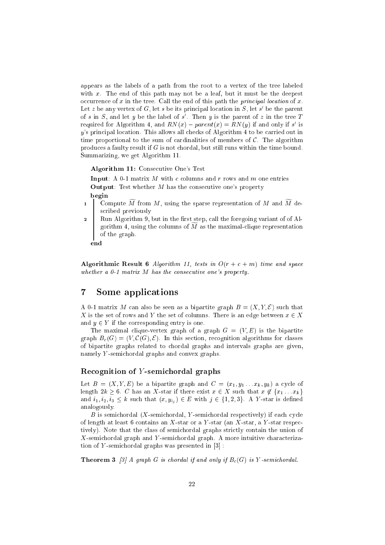appears as the labels of a path from the root to a vertex of the tree labeled with x. The end of this path may not be a leaf, but it must be the deepest occurrence of x in the tree. Call the end of this path the *principal location* of x. Let z be any vertex of  $G$ , let s be its principal location in  $S$ , let s be the parent of s in  $S$ , and let y be the label of s. Then y is the parent of z in the tree  $I$ required for Algorithm 4, and  $R_N(x) - param(x) = R_N(y)$  if and only if s is y's principal location. This allows all checks of Algorithm 4 to be carried out in time proportional to the sum of cardinalities of members of  $\mathcal{C}$ . The algorithm produces a faulty result if  $G$  is not chordal, but still runs within the time bound. Summarizing, we get Algorithm 11.

Algorithm 11: Consecutive One's Test

**Input:** A 0-1 matrix  $M$  with  $c$  columns and  $r$  rows and  $m$  one entries **Output:** Test whether  $M$  has the consecutive one's property begin

- 1 Compute M from M, using the sparse representation of M and M described previously
- Run Algorithm 9, but in the first step, call the foregoing variant of of Al-<sup>o</sup> gorithm 4, using the columns of  $M$  as the maximal-clique representation of the graph.

end

Algorithmic Result 6 Algorithm 11, tests in  $O(r + c + m)$  time and space whether a 0-1 matrix M has the consecutive one's property.

#### $\overline{7}$ Some applications

A 0-1 matrix M can also be seen as a bipartite graph  $B = (X, Y, \mathcal{E})$  such that X is the set of rows and Y the set of columns. There is an edge between  $x \in X$ and  $y \in Y$  if the corresponding entry is one.

The maximal clique-vertex graph of a graph  $G = (V, E)$  is the bipartite graph  $B_c(G) = (V, \mathcal{C}(G), \mathcal{E})$ . In this section, recognition algorithms for classes of bipartite graphs related to chordal graphs and intervals graphs are given, namely Y -semichordal graphs and convex graphs.

## Recognition of <sup>Y</sup> -semichordal graphs

Let  $B = (X, Y, E)$  be a bipartite graph and  $C = (x_1, y_1 \ldots x_k, y_k)$  a cycle of length  $2k \geq 6$ . C has an X-star if there exist  $x \in X$  such that  $x \notin \{x_1 \ldots x_k\}$ and  $i_1, i_2, i_3 \leq k$  such that  $(x, y_{i_j}) \in E$  with  $j \in \{1, 2, 3\}$ . A Y-star is defined analogously.

 $B$  is semichordal (X-semichordal, Y-semichordal respectively) if each cycle of length at least 6 contains an X-star or a Y-star (an X-star, a Y-star respectively). Note that the class of semichordal graphs strictly contain the union of X-semichordal graph and Y -semichordal graph. A more intuitive characterization of Y-semichordal graphs was presented in  $[3]$ :

**Theorem 3** [3] A graph G is chordal if and only if  $B_c(G)$  is Y-semichordal.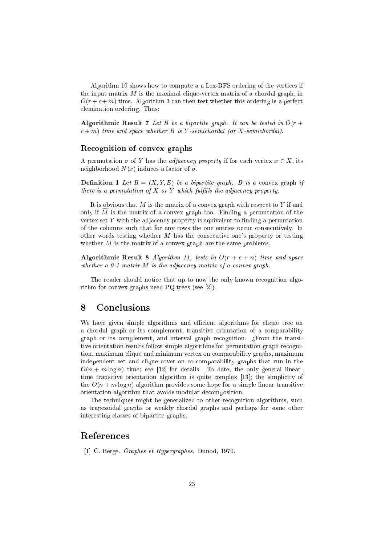Algorithm 10 shows how to compute a a Lex-BFS ordering of the vertices if the input matrix  $M$  is the maximal clique-vertex matrix of a chordal graph, in  $O(r + c + m)$  time. Algorithm 3 can then test whether this ordering is a perfect elemination ordering. Thus:

Algorithmic Result 7 Let B be a bipartite graph. It can be tested in  $O(r +$  $c + m$ ) time and space whether B is Y-semichordal (or X-semichordal).

#### $\mathcal{L}$  . The convex graphs of convex graphs of convex graphs of convex graphs of convex graphs of convex graphs of  $\mathcal{L}$

A permutation  $\sigma$  of Y has the *adjacency property* if for each vertex  $x \in X$ , its neighborhood  $N(x)$  induces a factor of  $\sigma$ .

**Definition 1** Let  $B = (X, Y, E)$  be a bipartite graph. B is a convex graph if there is a permutation of X or Y which fulfills the adjacency property.

It is obvious that  $M$  is the matrix of a convex graph with respect to  $Y$  if and only if  $M$  is the matrix of a convex graph too. Finding a permutation of the vertex set  $Y$  with the adjacency property is equivalent to finding a permutation of the columns such that for any rows the one entries occur consecutively. In other words testing whether  $M$  has the consecutive one's property or testing whether  $M$  is the matrix of a convex graph are the same problems.

Algorithmic Result 8 Algorithm 11, tests in  $O(r + c + n)$  time and space whether a  $0$ -1 matrix  $M$  is the adjacency matrix of a convex graph.

The reader should notice that up to now the only known recognition algorithm for convex graphs used PQ-trees (see [2]).

#### 8 **Conclusions**

We have given simple algorithms and efficient algorithms for clique tree on a chordal graph or its complement, transitive orientation of a comparability graph or its complement, and interval graph recognition.  $i$  From the transitive orientation results follow simple algorithms for permutation graph recognition, maximum clique and minimum vertex on comparability graphs, maximum independent set and clique cover on co-comparability graphs that run in the  $O(n + m \log n)$  time; see [12] for details. To date, the only general lineartime transitive orientation algorithm is quite complex [13]; the simplicity of the  $O(n + m \log n)$  algorithm provides some hope for a simple linear transitive orientation algorithm that avoids modular decomposition.

The techniques might be generalized to other recognition algorithms, such as trapezoidal graphs or weakly chordal graphs and perhaps for some other interesting classes of bipartite graphs.

## References

[1] C. Berge. Graphes et Hypergraphes. Dunod, 1970.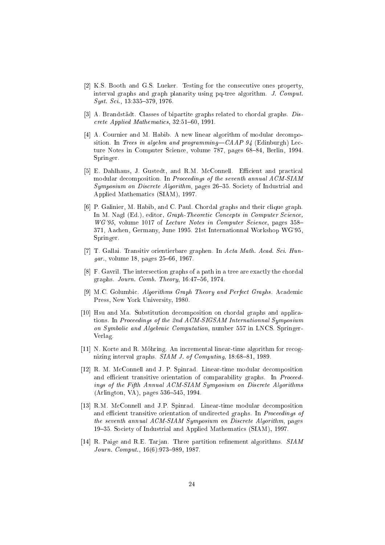- [2] K.S. Booth and G.S. Lueker. Testing for the consecutive ones property, interval graphs and graph planarity using pq-tree algorithm. J. Comput.  $Syst. Sci.$ , 13:335-379, 1976.
- [3] A. Brandstädt. Classes of bipartite graphs related to chordal graphs. Discrete Applied Mathematics,  $32:51{-}60, 1991$ .
- [4] A. Cournier and M. Habib. A new linear algorithm of modular decomposition. In Trees in algebra and programming— $CAAP$  94 (Edinburgh) Lecture Notes in Computer Science, volume 787, pages 68–84, Berlin, 1994. Springer.
- [5] E. Dahlhaus, J. Gustedt, and R.M. McConnell. Efficient and practical modular decomposition. In Proceedings of the seventh annual ACM-SIAM Symposium on Discrete Algorithm, pages 26-35. Society of Industrial and Applied Mathematics (SIAM), 1997.
- [6] P. Galinier, M. Habib, and C. Paul. Chordal graphs and their clique graph. In M. Nagl (Ed.), editor, *Graph-Theoretic Concepts in Computer Science*, WG'95, volume 1017 of Lecture Notes in Computer Science, pages 358-371, Aachen, Germany, June 1995. 21st Internationnal Workshop WG'95, Springer.
- [7] T. Gallai. Transitiv orientierbare graphen. In Acta Math. Acad. Sci. Hun $gar.$ , volume 18, pages  $25{-}66, 1967.$
- [8] F. Gavril. The intersection graphs of a path in a tree are exactly the chordal graphs.  $Journalum. Comb. Theory, 16:47–56, 1974.$
- [9] M.C. Golumbic. Algorithms Graph Theory and Perfect Graphs. Academic Press, New York University, 1980.
- [10] Hsu and Ma. Substitution decomposition on chordal graphs and applications. In Proceedings of the 2nd ACM-SIGSAM Internationnal Symposium on Symbolic and Algebraic Computation, number 557 in LNCS. Springer-Verlag.
- [11] N. Korte and R. Mohring. An incremental linear-time algorithm for recognizing interval graphs.  $SIAM$  J. of Computing, 18:68-81, 1989.
- [12] R. M. McConnell and J. P. Spinrad. Linear-time modular decomposition and efficient transitive orientation of comparability graphs. In Proceedings of the Fifth Annual ACM-SIAM Symposium on Discrete Algorithms (Arlington, VA), pages 536-545, 1994.
- [13] R.M. McConnell and J.P. Spinrad. Linear-time modular decomposition and efficient transitive orientation of undirected graphs. In Proceedings of the seventh annual ACM-SIAM Symposium on Discrete Algorithm, pages 19{35. Society of Industrial and Applied Mathematics (SIAM), 1997.
- [14] R. Paige and R.E. Tarjan. Three partition refinement algorithms. SIAM Journ. Comput.,  $16(6): 973-989$ , 1987.